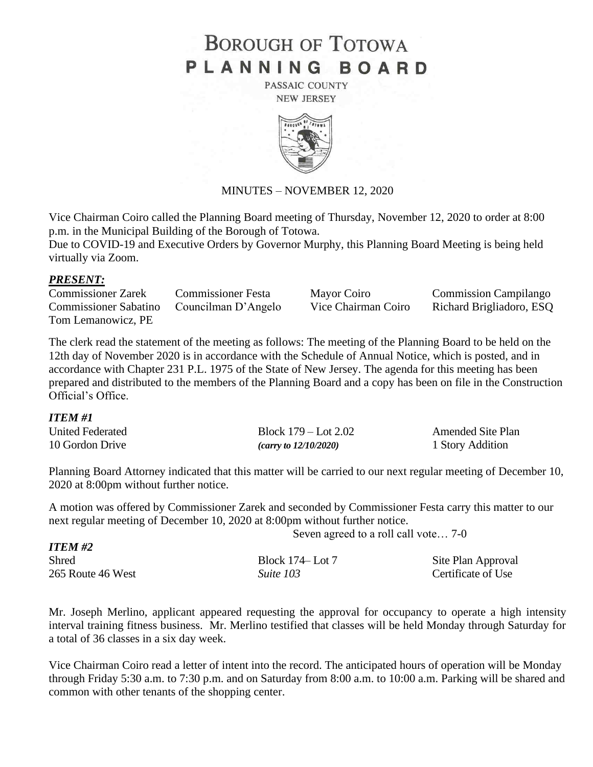# **BOROUGH OF TOTOWA** PLANNING BOARD

PASSAIC COUNTY **NEW JERSEY** 



#### MINUTES – NOVEMBER 12, 2020

Vice Chairman Coiro called the Planning Board meeting of Thursday, November 12, 2020 to order at 8:00 p.m. in the Municipal Building of the Borough of Totowa.

Due to COVID-19 and Executive Orders by Governor Murphy, this Planning Board Meeting is being held virtually via Zoom.

#### *PRESENT:*

Commissioner Zarek Commissioner Festa Mayor Coiro Commission Campilango Commissioner Sabatino Councilman D'Angelo Vice Chairman Coiro Richard Brigliadoro, ESQ Tom Lemanowicz, PE

The clerk read the statement of the meeting as follows: The meeting of the Planning Board to be held on the 12th day of November 2020 is in accordance with the Schedule of Annual Notice, which is posted, and in accordance with Chapter 231 P.L. 1975 of the State of New Jersey. The agenda for this meeting has been prepared and distributed to the members of the Planning Board and a copy has been on file in the Construction Official's Office.

#### *ITEM #1*

*ITEM #*2

| United Federated | Block $179 -$ Lot $2.02$ | <b>Amended Site Plan</b> |
|------------------|--------------------------|--------------------------|
| 10 Gordon Drive  | (carry to $12/10/2020$ ) | 1 Story Addition         |

Planning Board Attorney indicated that this matter will be carried to our next regular meeting of December 10, 2020 at 8:00pm without further notice.

A motion was offered by Commissioner Zarek and seconded by Commissioner Festa carry this matter to our next regular meeting of December 10, 2020 at 8:00pm without further notice.

Seven agreed to a roll call vote… 7-0

| <i>11 E.M #2</i>  |                  |                    |
|-------------------|------------------|--------------------|
| <b>Shred</b>      | Block 174– Lot 7 | Site Plan Approval |
| 265 Route 46 West | Suite 103        | Certificate of Use |

Mr. Joseph Merlino, applicant appeared requesting the approval for occupancy to operate a high intensity interval training fitness business. Mr. Merlino testified that classes will be held Monday through Saturday for a total of 36 classes in a six day week.

Vice Chairman Coiro read a letter of intent into the record. The anticipated hours of operation will be Monday through Friday 5:30 a.m. to 7:30 p.m. and on Saturday from 8:00 a.m. to 10:00 a.m. Parking will be shared and common with other tenants of the shopping center.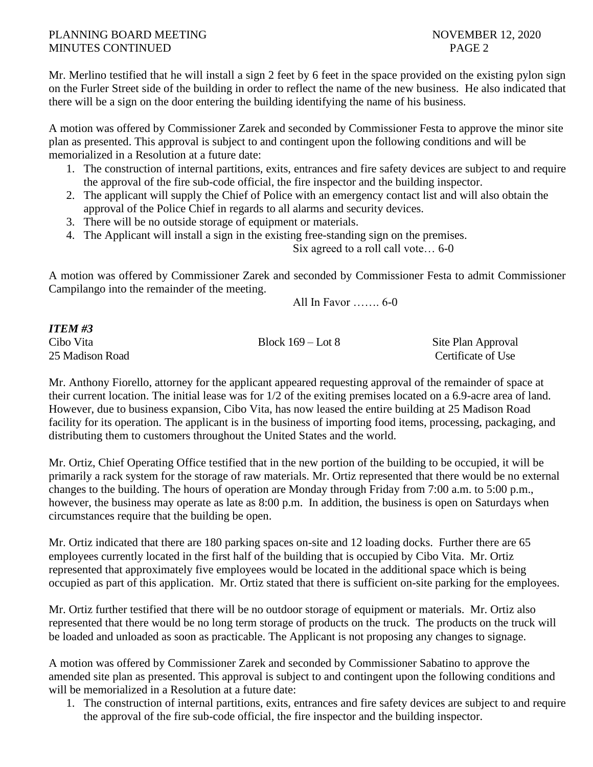## PLANNING BOARD MEETING NOVEMBER 12, 2020 MINUTES CONTINUED PAGE 2

Mr. Merlino testified that he will install a sign 2 feet by 6 feet in the space provided on the existing pylon sign on the Furler Street side of the building in order to reflect the name of the new business. He also indicated that there will be a sign on the door entering the building identifying the name of his business.

A motion was offered by Commissioner Zarek and seconded by Commissioner Festa to approve the minor site plan as presented. This approval is subject to and contingent upon the following conditions and will be memorialized in a Resolution at a future date:

- 1. The construction of internal partitions, exits, entrances and fire safety devices are subject to and require the approval of the fire sub-code official, the fire inspector and the building inspector.
- 2. The applicant will supply the Chief of Police with an emergency contact list and will also obtain the approval of the Police Chief in regards to all alarms and security devices.
- 3. There will be no outside storage of equipment or materials.
- 4. The Applicant will install a sign in the existing free-standing sign on the premises.

Six agreed to a roll call vote… 6-0

A motion was offered by Commissioner Zarek and seconded by Commissioner Festa to admit Commissioner Campilango into the remainder of the meeting.

All In Favor ……. 6-0

#### *ITEM #3*

Cibo Vita Block 169 – Lot 8 Site Plan Approval

25 Madison Road **Certificate of Use** Certificate of Use

Mr. Anthony Fiorello, attorney for the applicant appeared requesting approval of the remainder of space at their current location. The initial lease was for 1/2 of the exiting premises located on a 6.9-acre area of land. However, due to business expansion, Cibo Vita, has now leased the entire building at 25 Madison Road facility for its operation. The applicant is in the business of importing food items, processing, packaging, and distributing them to customers throughout the United States and the world.

Mr. Ortiz, Chief Operating Office testified that in the new portion of the building to be occupied, it will be primarily a rack system for the storage of raw materials. Mr. Ortiz represented that there would be no external changes to the building. The hours of operation are Monday through Friday from 7:00 a.m. to 5:00 p.m., however, the business may operate as late as 8:00 p.m. In addition, the business is open on Saturdays when circumstances require that the building be open.

Mr. Ortiz indicated that there are 180 parking spaces on-site and 12 loading docks. Further there are 65 employees currently located in the first half of the building that is occupied by Cibo Vita. Mr. Ortiz represented that approximately five employees would be located in the additional space which is being occupied as part of this application. Mr. Ortiz stated that there is sufficient on-site parking for the employees.

Mr. Ortiz further testified that there will be no outdoor storage of equipment or materials. Mr. Ortiz also represented that there would be no long term storage of products on the truck. The products on the truck will be loaded and unloaded as soon as practicable. The Applicant is not proposing any changes to signage.

A motion was offered by Commissioner Zarek and seconded by Commissioner Sabatino to approve the amended site plan as presented. This approval is subject to and contingent upon the following conditions and will be memorialized in a Resolution at a future date:

1. The construction of internal partitions, exits, entrances and fire safety devices are subject to and require the approval of the fire sub-code official, the fire inspector and the building inspector.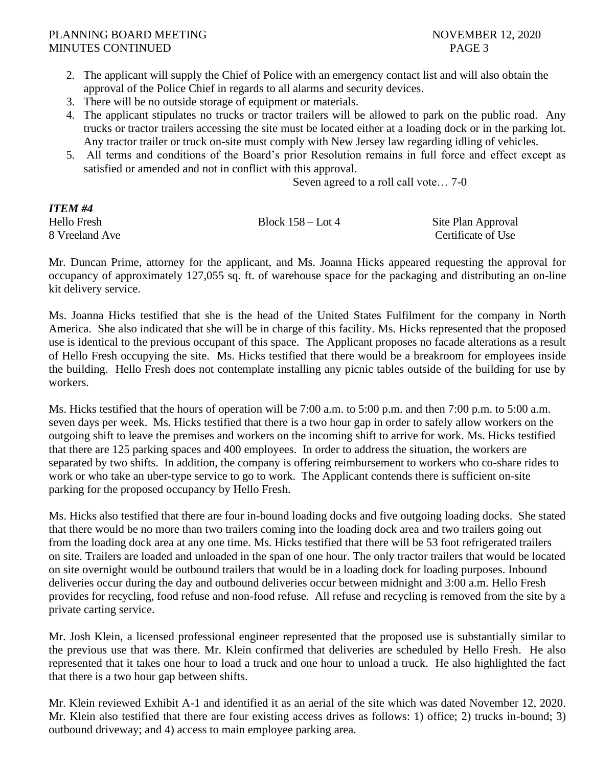- 2. The applicant will supply the Chief of Police with an emergency contact list and will also obtain the approval of the Police Chief in regards to all alarms and security devices.
- 3. There will be no outside storage of equipment or materials.
- 4. The applicant stipulates no trucks or tractor trailers will be allowed to park on the public road. Any trucks or tractor trailers accessing the site must be located either at a loading dock or in the parking lot. Any tractor trailer or truck on-site must comply with New Jersey law regarding idling of vehicles.
- 5. All terms and conditions of the Board's prior Resolution remains in full force and effect except as satisfied or amended and not in conflict with this approval.

Seven agreed to a roll call vote… 7-0

# *ITEM #4*

Hello Fresh Block 158 – Lot 4 Site Plan Approval 8 Vreeland Ave Certificate of Use

Mr. Duncan Prime, attorney for the applicant, and Ms. Joanna Hicks appeared requesting the approval for occupancy of approximately 127,055 sq. ft. of warehouse space for the packaging and distributing an on-line kit delivery service.

Ms. Joanna Hicks testified that she is the head of the United States Fulfilment for the company in North America. She also indicated that she will be in charge of this facility. Ms. Hicks represented that the proposed use is identical to the previous occupant of this space. The Applicant proposes no facade alterations as a result of Hello Fresh occupying the site. Ms. Hicks testified that there would be a breakroom for employees inside the building. Hello Fresh does not contemplate installing any picnic tables outside of the building for use by workers.

Ms. Hicks testified that the hours of operation will be 7:00 a.m. to 5:00 p.m. and then 7:00 p.m. to 5:00 a.m. seven days per week. Ms. Hicks testified that there is a two hour gap in order to safely allow workers on the outgoing shift to leave the premises and workers on the incoming shift to arrive for work. Ms. Hicks testified that there are 125 parking spaces and 400 employees. In order to address the situation, the workers are separated by two shifts. In addition, the company is offering reimbursement to workers who co-share rides to work or who take an uber-type service to go to work. The Applicant contends there is sufficient on-site parking for the proposed occupancy by Hello Fresh.

Ms. Hicks also testified that there are four in-bound loading docks and five outgoing loading docks. She stated that there would be no more than two trailers coming into the loading dock area and two trailers going out from the loading dock area at any one time. Ms. Hicks testified that there will be 53 foot refrigerated trailers on site. Trailers are loaded and unloaded in the span of one hour. The only tractor trailers that would be located on site overnight would be outbound trailers that would be in a loading dock for loading purposes. Inbound deliveries occur during the day and outbound deliveries occur between midnight and 3:00 a.m. Hello Fresh provides for recycling, food refuse and non-food refuse. All refuse and recycling is removed from the site by a private carting service.

Mr. Josh Klein, a licensed professional engineer represented that the proposed use is substantially similar to the previous use that was there. Mr. Klein confirmed that deliveries are scheduled by Hello Fresh. He also represented that it takes one hour to load a truck and one hour to unload a truck. He also highlighted the fact that there is a two hour gap between shifts.

Mr. Klein reviewed Exhibit A-1 and identified it as an aerial of the site which was dated November 12, 2020. Mr. Klein also testified that there are four existing access drives as follows: 1) office; 2) trucks in-bound; 3) outbound driveway; and 4) access to main employee parking area.